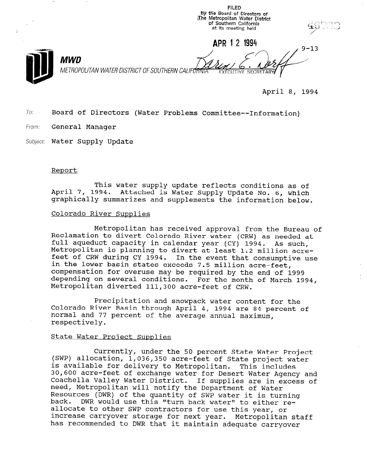EY tlie Board of Directors of The Metropolitan Water District 'of Southern Californla at its meeting held APR 1 2 1994  $9 - 13$ **MWD** METROPOLITAN WATER DISTRICT OF SOUTHERN CALIF<del>ÓRNIA</del> **EXECUTIVE SECRETARY** 

FILED

April 8, 1994

To: Board of Directors (Water Problems Committee--Information)

From: **General Manager** 

Subject: Water Supply Update

#### Report

This water supply update reflects conditions as of April 7, 1994. Attached is Water Supply Update No. 6, which graphically summarizes and supplements the information below.

### Colorado River Supplies

Metropolitan has received approval from the Bureau of Reclamation to divert Colorado River water (CRW) as needed at full aqueduct capacity in calendar year (CY) 1994. As such, Metropolitan is planning to divert at least 1.2 million acrefeet of CRW during CY 1994. In the event that consumptive use in the lower basin states exceeds 7.5 million acre-feet, compensation for overuse may be required by the end-of 1999 depending on several conditions. For the month of March 1994, Metropolitan diverted 111,300 acre-feet of CRW.

Precipitation and snowpack water content for the Colorado River Basin through April 4, 1994 are 84 percent of normal and 77 percent of the average annual maximum, respectively.

## State Water Project Supplies

Currently, under the 50 percent State Water Project currencry, under the 50 percent state water Projection.<br>(SWP) allocation, 1,036,350 acre-feet of Chate project water is available for delivery to Metropolitan. This includes 30,600 acre-feet of exchange water for Desert Water Agency and Coachella Valley Water District. If supplies are in excess of coddieird variey water bistrict. In Suppries are in a need, necroporican will notify the bepartment of water .<br>Peacuraca (DWD) of the montity of SWP with it is turning Resources (DWR) of the quantity of SWP water it is turning<br>back. DWR would use this "turn back water" to either reallocate to other SWP contractors for use this year, or affocate to other swr contractors for use this year, or<br>increase carryover storage for next year. Metropolitan staf has recommended to DWR that it maintain adequate carryover scorage for next year. Metropolitan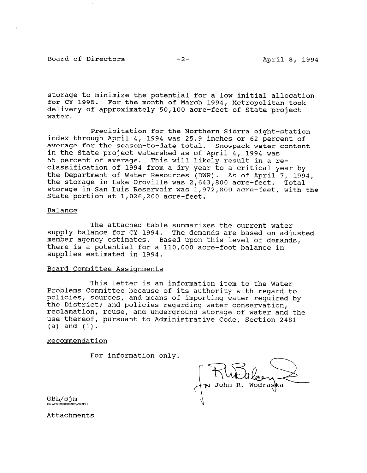## Board of Directors -2- April 8, 1994

storage to minimize the potential for a low initial allocation for CY 1995. For the month of March 1994, Metropolitan took delivery of approximately 50,100 acre-feet of State project water.

Precipitation for the Northern Sierra eight-station index through April 4, 1994 was 25.9 inches or 62 percent of average for the season-to-date total. Snowpack water content in the State project watershed as of April 4, 1994 was 55 percent of average. This will likely result in a reclassification of 1994 from a dry year to a critical year by the Department of Water Resources (DWR). As of April 7, 1994, the storage in Lake Oroville was 2,643,800 acre-feet. Total storage in San Luis Reservoir was 1,972,800 acre-feet, with the State portion at 1,026,200 acre-feet.

## Balance

The attached table summarizes the current water supply balance for CY 1994. The demands are based on adjusted member agency estimates. Based upon this level of demands, there is a potential for a 110,000 acre-foot balance in supplies estimated in 1994.

#### Board Committee Assignments

This letter is an information item to the Water Problems Committee because of its authority with regard to noticies committee because of its authority with regard to portcies, sources, and means or importing water requ.<br>the District: and policies regarding water conservati reclamation, reuse, and underground storage of water and the use thereof, pursuant to Administrative Code, Section 2481 use thereof, pursuant to Administrative Code, Section 2481 (a) and (i).

#### Recommendation

For information only.

 $GBL/sim$ S:\WPSHARED\BOARD\WSUAPR}

Attachments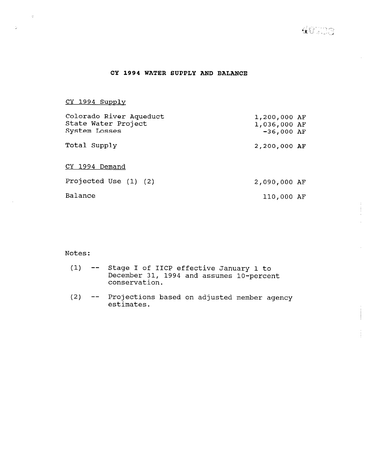$\alpha$ 

 $\bar{z}$ 

## CY 1994 WATER SUPPLY AND BALANCE

## CY 1994 Supply

 $\hat{\gamma}$ 

÷.

| Colorado River Aqueduct<br>State Water Project<br>System Losses | 1,200,000 AF<br>1,036,000 AF<br>$-36,000$ AF |  |
|-----------------------------------------------------------------|----------------------------------------------|--|
| Total Supply                                                    | 2,200,000 AF                                 |  |
| CY 1994 Demand                                                  |                                              |  |
| Projected Use (1) (2)                                           | 2,090,000 AF                                 |  |
| Balance                                                         | 110,000 AF                                   |  |

# Notes :

- (1) -- Stage I of IICP effective January 1 to December 31, 1994 and assumes  $10$ -percent conservation.
- (2) -- Projections based on adjusted member agency estimates.